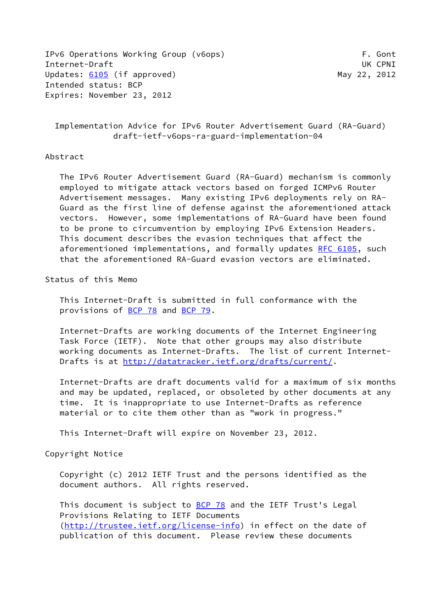IPv6 Operations Working Group (v6ops) The Contract of the Contract of the Contract of the Contract of the Cont Internet-Draft UK CPNI Updates: [6105](https://datatracker.ietf.org/doc/pdf/rfc6105) (if approved) May 22, 2012 Intended status: BCP Expires: November 23, 2012

 Implementation Advice for IPv6 Router Advertisement Guard (RA-Guard) draft-ietf-v6ops-ra-guard-implementation-04

## Abstract

 The IPv6 Router Advertisement Guard (RA-Guard) mechanism is commonly employed to mitigate attack vectors based on forged ICMPv6 Router Advertisement messages. Many existing IPv6 deployments rely on RA- Guard as the first line of defense against the aforementioned attack vectors. However, some implementations of RA-Guard have been found to be prone to circumvention by employing IPv6 Extension Headers. This document describes the evasion techniques that affect the aforementioned implementations, and formally updates [RFC 6105](https://datatracker.ietf.org/doc/pdf/rfc6105), such that the aforementioned RA-Guard evasion vectors are eliminated.

Status of this Memo

 This Internet-Draft is submitted in full conformance with the provisions of [BCP 78](https://datatracker.ietf.org/doc/pdf/bcp78) and [BCP 79](https://datatracker.ietf.org/doc/pdf/bcp79).

 Internet-Drafts are working documents of the Internet Engineering Task Force (IETF). Note that other groups may also distribute working documents as Internet-Drafts. The list of current Internet- Drafts is at<http://datatracker.ietf.org/drafts/current/>.

 Internet-Drafts are draft documents valid for a maximum of six months and may be updated, replaced, or obsoleted by other documents at any time. It is inappropriate to use Internet-Drafts as reference material or to cite them other than as "work in progress."

This Internet-Draft will expire on November 23, 2012.

Copyright Notice

 Copyright (c) 2012 IETF Trust and the persons identified as the document authors. All rights reserved.

This document is subject to **[BCP 78](https://datatracker.ietf.org/doc/pdf/bcp78)** and the IETF Trust's Legal Provisions Relating to IETF Documents [\(http://trustee.ietf.org/license-info](http://trustee.ietf.org/license-info)) in effect on the date of publication of this document. Please review these documents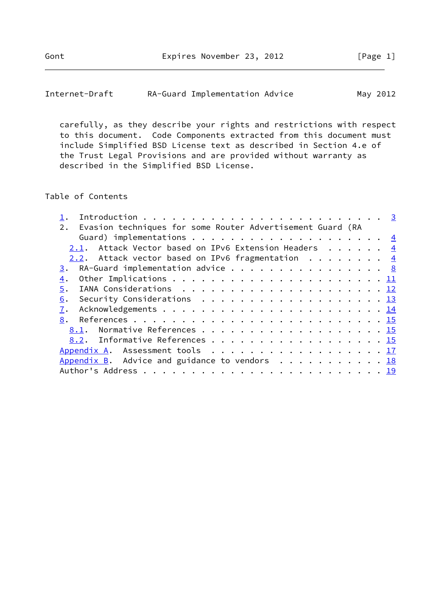| Internet-Draft | RA-Guard Implementation Advice | May 2012 |
|----------------|--------------------------------|----------|
|----------------|--------------------------------|----------|

 carefully, as they describe your rights and restrictions with respect to this document. Code Components extracted from this document must include Simplified BSD License text as described in Section 4.e of the Trust Legal Provisions and are provided without warranty as described in the Simplified BSD License.

### Table of Contents

| Evasion techniques for some Router Advertisement Guard (RA<br>2.                              |  |  |  |
|-----------------------------------------------------------------------------------------------|--|--|--|
|                                                                                               |  |  |  |
| 2.1. Attack Vector based on IPv6 Extension Headers 4                                          |  |  |  |
| 2.2. Attack vector based on IPv6 fragmentation $\frac{4}{5}$                                  |  |  |  |
| RA-Guard implementation advice $\cdots$ 8<br>3.                                               |  |  |  |
| 4.                                                                                            |  |  |  |
| 5.                                                                                            |  |  |  |
| Security Considerations $\ldots \ldots \ldots \ldots \ldots \ldots \ldots \frac{13}{2}$<br>6. |  |  |  |
| 7.                                                                                            |  |  |  |
| 8.                                                                                            |  |  |  |
| 8.1. Normative References 15                                                                  |  |  |  |
| 8.2. Informative References 15                                                                |  |  |  |
| Appendix A. Assessment tools 17                                                               |  |  |  |
| Appendix B. Advice and guidance to vendors $\ldots$ 18                                        |  |  |  |
|                                                                                               |  |  |  |
|                                                                                               |  |  |  |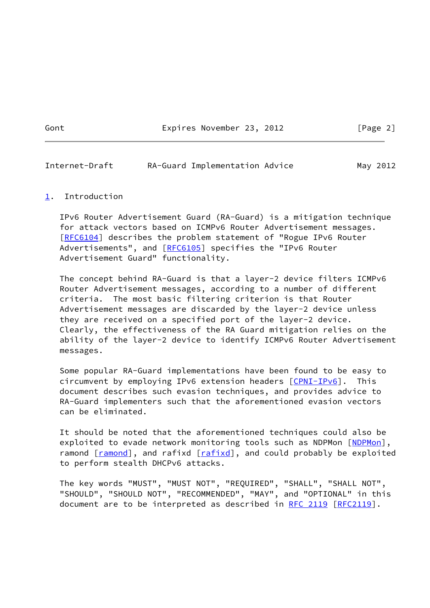Gont Expires November 23, 2012 [Page 2]

<span id="page-2-1"></span>Internet-Draft RA-Guard Implementation Advice May 2012

### <span id="page-2-0"></span>[1](#page-2-0). Introduction

 IPv6 Router Advertisement Guard (RA-Guard) is a mitigation technique for attack vectors based on ICMPv6 Router Advertisement messages. [\[RFC6104](https://datatracker.ietf.org/doc/pdf/rfc6104)] describes the problem statement of "Rogue IPv6 Router Advertisements", and [\[RFC6105](https://datatracker.ietf.org/doc/pdf/rfc6105)] specifies the "IPv6 Router Advertisement Guard" functionality.

 The concept behind RA-Guard is that a layer-2 device filters ICMPv6 Router Advertisement messages, according to a number of different criteria. The most basic filtering criterion is that Router Advertisement messages are discarded by the layer-2 device unless they are received on a specified port of the layer-2 device. Clearly, the effectiveness of the RA Guard mitigation relies on the ability of the layer-2 device to identify ICMPv6 Router Advertisement messages.

 Some popular RA-Guard implementations have been found to be easy to circumvent by employing IPv6 extension headers [\[CPNI-IPv6](#page-17-0)]. This document describes such evasion techniques, and provides advice to RA-Guard implementers such that the aforementioned evasion vectors can be eliminated.

 It should be noted that the aforementioned techniques could also be exploited to evade network monitoring tools such as [NDPMon](#page-17-1) [NDPMon], ramond [\[ramond](#page-17-2)], and rafixd [\[rafixd](#page-17-3)], and could probably be exploited to perform stealth DHCPv6 attacks.

 The key words "MUST", "MUST NOT", "REQUIRED", "SHALL", "SHALL NOT", "SHOULD", "SHOULD NOT", "RECOMMENDED", "MAY", and "OPTIONAL" in this document are to be interpreted as described in [RFC 2119 \[RFC2119](https://datatracker.ietf.org/doc/pdf/rfc2119)].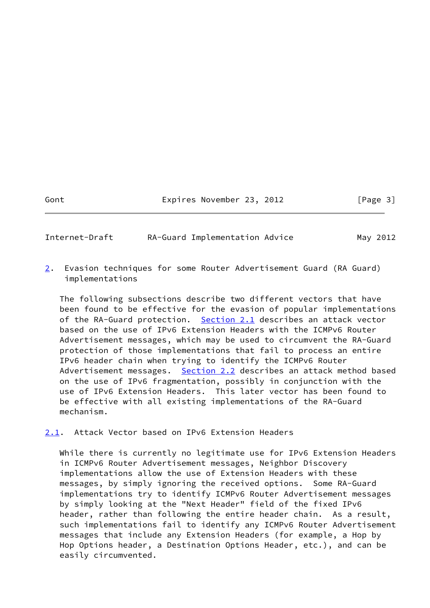Gont Expires November 23, 2012 [Page 3]

<span id="page-3-0"></span>Internet-Draft RA-Guard Implementation Advice May 2012

<span id="page-3-2"></span>[2](#page-3-2). Evasion techniques for some Router Advertisement Guard (RA Guard) implementations

 The following subsections describe two different vectors that have been found to be effective for the evasion of popular implementations of the RA-Guard protection. [Section 2.1](#page-3-1) describes an attack vector based on the use of IPv6 Extension Headers with the ICMPv6 Router Advertisement messages, which may be used to circumvent the RA-Guard protection of those implementations that fail to process an entire IPv6 header chain when trying to identify the ICMPv6 Router Advertisement messages. [Section 2.2](#page-4-0) describes an attack method based on the use of IPv6 fragmentation, possibly in conjunction with the use of IPv6 Extension Headers. This later vector has been found to be effective with all existing implementations of the RA-Guard mechanism.

<span id="page-3-1"></span>[2.1](#page-3-1). Attack Vector based on IPv6 Extension Headers

 While there is currently no legitimate use for IPv6 Extension Headers in ICMPv6 Router Advertisement messages, Neighbor Discovery implementations allow the use of Extension Headers with these messages, by simply ignoring the received options. Some RA-Guard implementations try to identify ICMPv6 Router Advertisement messages by simply looking at the "Next Header" field of the fixed IPv6 header, rather than following the entire header chain. As a result, such implementations fail to identify any ICMPv6 Router Advertisement messages that include any Extension Headers (for example, a Hop by Hop Options header, a Destination Options Header, etc.), and can be easily circumvented.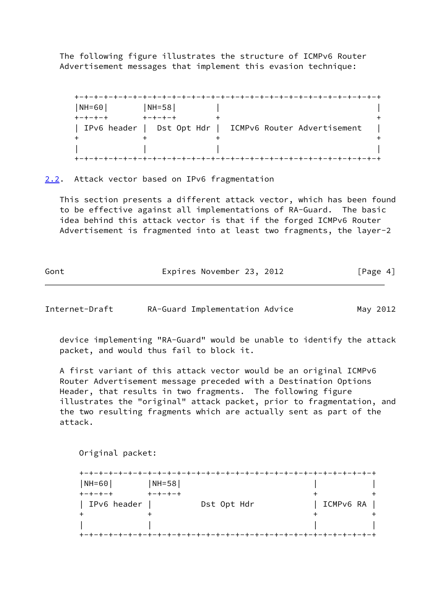The following figure illustrates the structure of ICMPv6 Router Advertisement messages that implement this evasion technique:

 +-+-+-+-+-+-+-+-+-+-+-+-+-+-+-+-+-+-+-+-+-+-+-+-+-+-+-+-+-+-+-+ |NH=60| |NH=58| | +-+-+-+ +-+-+-+ + + | IPv6 header | Dst Opt Hdr | ICMPv6 Router Advertisement  $+$  +  $+$  +  $+$  +  $+$  +  $+$  +  $+$  +  $+$  +  $+$  +  $+$  +  $+$  +  $+$  +  $+$  +  $+$  +  $+$  +  $+$  +  $+$  +  $+$  +  $+$  +  $+$  +  $+$  +  $+$  +  $+$  +  $+$  +  $+$  +  $+$  +  $+$  +  $+$  +  $+$  +  $+$  +  $+$  +  $+$  +  $+$  +  $+$  +  $+$  +  $+$  +  $+$  +  $+$  + | | | | +-+-+-+-+-+-+-+-+-+-+-+-+-+-+-+-+-+-+-+-+-+-+-+-+-+-+-+-+-+-+-+

<span id="page-4-0"></span>[2.2](#page-4-0). Attack vector based on IPv6 fragmentation

 This section presents a different attack vector, which has been found to be effective against all implementations of RA-Guard. The basic idea behind this attack vector is that if the forged ICMPv6 Router Advertisement is fragmented into at least two fragments, the layer-2

Gont Expires November 23, 2012 [Page 4]

Internet-Draft RA-Guard Implementation Advice May 2012

 device implementing "RA-Guard" would be unable to identify the attack packet, and would thus fail to block it.

 A first variant of this attack vector would be an original ICMPv6 Router Advertisement message preceded with a Destination Options Header, that results in two fragments. The following figure illustrates the "original" attack packet, prior to fragmentation, and the two resulting fragments which are actually sent as part of the attack.

Original packet:

| $NH = 60$     | $NH = 58$       |             |           |
|---------------|-----------------|-------------|-----------|
| $+-+ - + - +$ | $+ - + - + - +$ |             |           |
| IPv6 header   |                 | Dst Opt Hdr | ICMPv6 RA |
|               |                 |             |           |
|               |                 |             |           |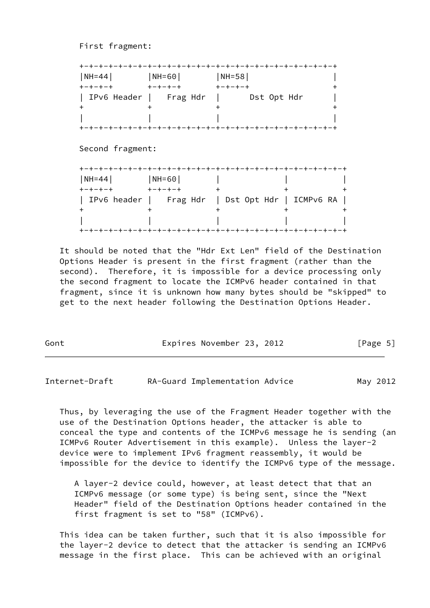First fragment:

| NH=44                      | NH=60                     | $ NH=58 $                                        |  |
|----------------------------|---------------------------|--------------------------------------------------|--|
| $+ - + - + - +$            | キーキーキーキ                   | $+ - + - + - +$                                  |  |
|                            | IPv6 Header   Frag Hdr    | Dst Opt Hdr                                      |  |
| +                          |                           | +                                                |  |
|                            |                           |                                                  |  |
|                            |                           |                                                  |  |
| Second fragment:           |                           |                                                  |  |
|                            |                           |                                                  |  |
|                            |                           |                                                  |  |
| NH=44  <br>$+ - + - + - +$ | NH=60 <br>$+ - + - + - +$ | $+$                                              |  |
|                            |                           |                                                  |  |
|                            |                           | IPv6 header   Frag Hdr   Dst Opt Hdr   ICMPv6 RA |  |
|                            |                           |                                                  |  |

 It should be noted that the "Hdr Ext Len" field of the Destination Options Header is present in the first fragment (rather than the second). Therefore, it is impossible for a device processing only the second fragment to locate the ICMPv6 header contained in that fragment, since it is unknown how many bytes should be "skipped" to get to the next header following the Destination Options Header.

| Gont | Expires November 23, 2012 |  | [Page 5] |
|------|---------------------------|--|----------|
|      |                           |  |          |

Internet-Draft RA-Guard Implementation Advice May 2012

 Thus, by leveraging the use of the Fragment Header together with the use of the Destination Options header, the attacker is able to conceal the type and contents of the ICMPv6 message he is sending (an ICMPv6 Router Advertisement in this example). Unless the layer-2 device were to implement IPv6 fragment reassembly, it would be impossible for the device to identify the ICMPv6 type of the message.

 A layer-2 device could, however, at least detect that that an ICMPv6 message (or some type) is being sent, since the "Next Header" field of the Destination Options header contained in the first fragment is set to "58" (ICMPv6).

 This idea can be taken further, such that it is also impossible for the layer-2 device to detect that the attacker is sending an ICMPv6 message in the first place. This can be achieved with an original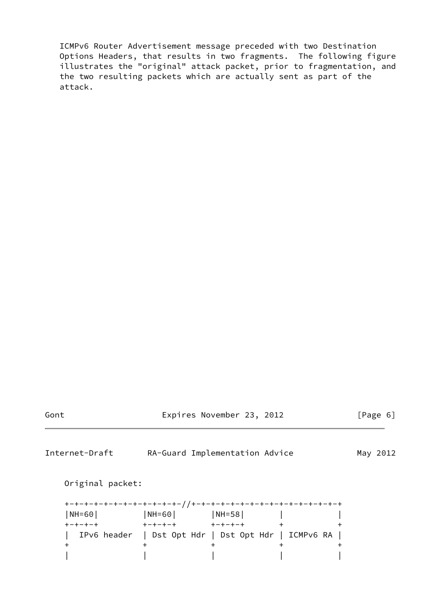ICMPv6 Router Advertisement message preceded with two Destination Options Headers, that results in two fragments. The following figure illustrates the "original" attack packet, prior to fragmentation, and the two resulting packets which are actually sent as part of the attack.

Gont Expires November 23, 2012 [Page 6]

Internet-Draft RA-Guard Implementation Advice May 2012

Original packet:

| $ NH = 60 $     | NH=60                                               | $ NH=58 $       |  |
|-----------------|-----------------------------------------------------|-----------------|--|
| $+ - + - + - +$ | $+ - + - + - +$                                     | $+ - + - + - +$ |  |
|                 | IPv6 header   Dst Opt Hdr   Dst Opt Hdr   ICMPv6 RA |                 |  |
|                 |                                                     |                 |  |
|                 |                                                     |                 |  |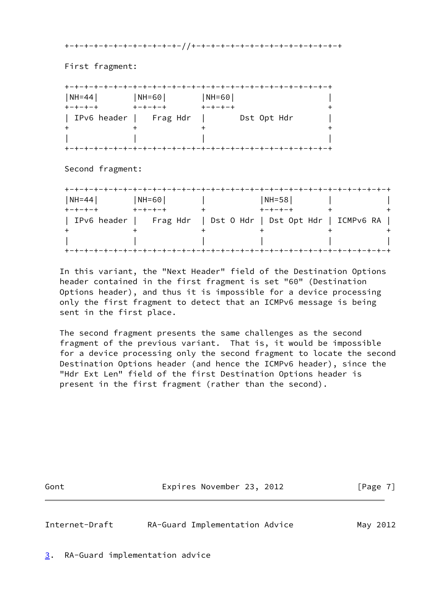+-+-+-+-+-+-+-+-+-+-+-+-//+-+-+-+-+-+-+-+-+-+-+-+-+-+-+-+

First fragment:

| $NH=44$         | $ NH = 60 $     | $ NH = 60 $     |
|-----------------|-----------------|-----------------|
| $+ - + - + - +$ | $+ - + - + - +$ | $+ - + - + - +$ |
| IPv6 header     | Frag Hdr        | Dst Opt Hdr     |
|                 |                 |                 |
|                 |                 |                 |

Second fragment:

| $NH=44$     | $NH = 60$ | $NH = 58$                                      |  |
|-------------|-----------|------------------------------------------------|--|
|             |           |                                                |  |
| IPv6 header |           | Frag Hdr   Dst O Hdr   Dst Opt Hdr   ICMPv6 RA |  |
|             |           |                                                |  |
|             |           |                                                |  |

 In this variant, the "Next Header" field of the Destination Options header contained in the first fragment is set "60" (Destination Options header), and thus it is impossible for a device processing only the first fragment to detect that an ICMPv6 message is being sent in the first place.

 The second fragment presents the same challenges as the second fragment of the previous variant. That is, it would be impossible for a device processing only the second fragment to locate the second Destination Options header (and hence the ICMPv6 header), since the "Hdr Ext Len" field of the first Destination Options header is present in the first fragment (rather than the second).

Gont Expires November 23, 2012 [Page 7]

<span id="page-7-1"></span>

Internet-Draft RA-Guard Implementation Advice May 2012

<span id="page-7-0"></span>[3](#page-7-0). RA-Guard implementation advice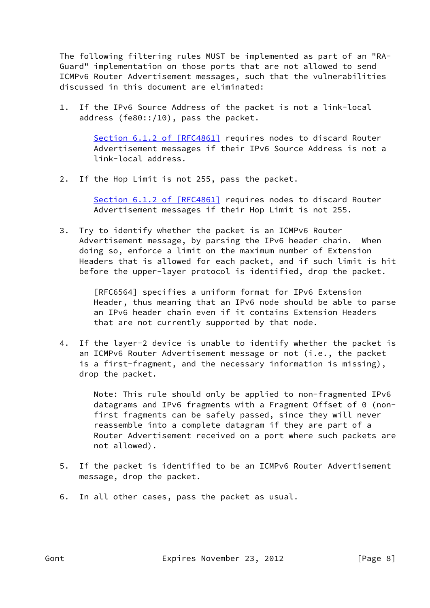The following filtering rules MUST be implemented as part of an "RA- Guard" implementation on those ports that are not allowed to send ICMPv6 Router Advertisement messages, such that the vulnerabilities discussed in this document are eliminated:

 1. If the IPv6 Source Address of the packet is not a link-local address (fe80::/10), pass the packet.

> Section [6.1.2 of \[RFC4861\]](https://datatracker.ietf.org/doc/pdf/rfc4861#section-6.1.2) requires nodes to discard Router Advertisement messages if their IPv6 Source Address is not a link-local address.

2. If the Hop Limit is not 255, pass the packet.

 Section [6.1.2 of \[RFC4861\]](https://datatracker.ietf.org/doc/pdf/rfc4861#section-6.1.2) requires nodes to discard Router Advertisement messages if their Hop Limit is not 255.

 3. Try to identify whether the packet is an ICMPv6 Router Advertisement message, by parsing the IPv6 header chain. When doing so, enforce a limit on the maximum number of Extension Headers that is allowed for each packet, and if such limit is hit before the upper-layer protocol is identified, drop the packet.

> [RFC6564] specifies a uniform format for IPv6 Extension Header, thus meaning that an IPv6 node should be able to parse an IPv6 header chain even if it contains Extension Headers that are not currently supported by that node.

 4. If the layer-2 device is unable to identify whether the packet is an ICMPv6 Router Advertisement message or not (i.e., the packet is a first-fragment, and the necessary information is missing), drop the packet.

> Note: This rule should only be applied to non-fragmented IPv6 datagrams and IPv6 fragments with a Fragment Offset of 0 (non first fragments can be safely passed, since they will never reassemble into a complete datagram if they are part of a Router Advertisement received on a port where such packets are not allowed).

- 5. If the packet is identified to be an ICMPv6 Router Advertisement message, drop the packet.
- 6. In all other cases, pass the packet as usual.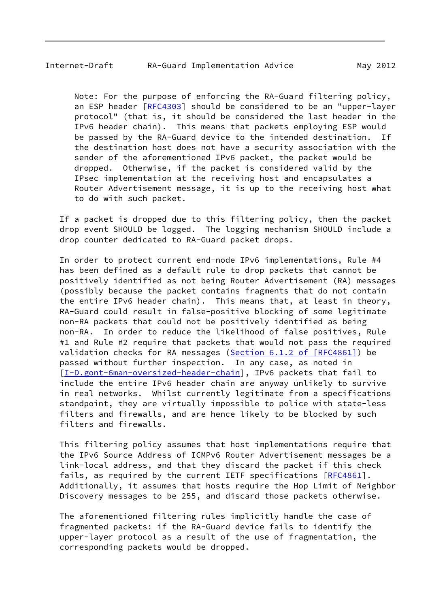Note: For the purpose of enforcing the RA-Guard filtering policy, an ESP header [\[RFC4303](https://datatracker.ietf.org/doc/pdf/rfc4303)] should be considered to be an "upper-layer protocol" (that is, it should be considered the last header in the IPv6 header chain). This means that packets employing ESP would be passed by the RA-Guard device to the intended destination. If the destination host does not have a security association with the sender of the aforementioned IPv6 packet, the packet would be dropped. Otherwise, if the packet is considered valid by the IPsec implementation at the receiving host and encapsulates a Router Advertisement message, it is up to the receiving host what to do with such packet.

 If a packet is dropped due to this filtering policy, then the packet drop event SHOULD be logged. The logging mechanism SHOULD include a drop counter dedicated to RA-Guard packet drops.

 In order to protect current end-node IPv6 implementations, Rule #4 has been defined as a default rule to drop packets that cannot be positively identified as not being Router Advertisement (RA) messages (possibly because the packet contains fragments that do not contain the entire IPv6 header chain). This means that, at least in theory, RA-Guard could result in false-positive blocking of some legitimate non-RA packets that could not be positively identified as being non-RA. In order to reduce the likelihood of false positives, Rule #1 and Rule #2 require that packets that would not pass the required validation checks for RA messages (Section [6.1.2 of \[RFC4861\]\)](https://datatracker.ietf.org/doc/pdf/rfc4861#section-6.1.2) be passed without further inspection. In any case, as noted in [\[I-D.gont-6man-oversized-header-chain](#page-16-1)], IPv6 packets that fail to include the entire IPv6 header chain are anyway unlikely to survive in real networks. Whilst currently legitimate from a specifications standpoint, they are virtually impossible to police with state-less filters and firewalls, and are hence likely to be blocked by such filters and firewalls.

 This filtering policy assumes that host implementations require that the IPv6 Source Address of ICMPv6 Router Advertisement messages be a link-local address, and that they discard the packet if this check fails, as required by the current IETF specifications [[RFC4861](https://datatracker.ietf.org/doc/pdf/rfc4861)]. Additionally, it assumes that hosts require the Hop Limit of Neighbor Discovery messages to be 255, and discard those packets otherwise.

 The aforementioned filtering rules implicitly handle the case of fragmented packets: if the RA-Guard device fails to identify the upper-layer protocol as a result of the use of fragmentation, the corresponding packets would be dropped.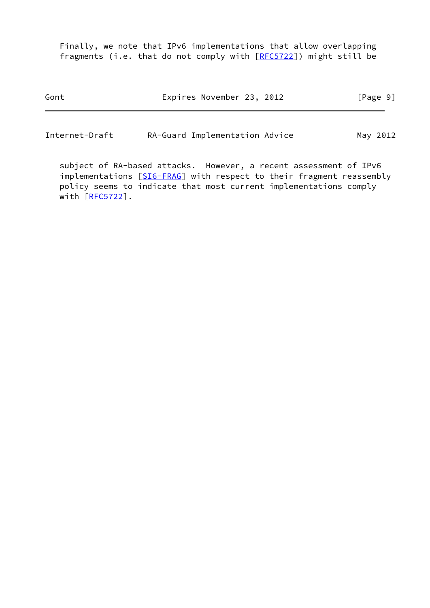Finally, we note that IPv6 implementations that allow overlapping fragments (i.e. that do not comply with [\[RFC5722](https://datatracker.ietf.org/doc/pdf/rfc5722)]) might still be

| Gont | Expires November 23, 2012 |  | [Page 9] |  |
|------|---------------------------|--|----------|--|
|      |                           |  |          |  |

Internet-Draft RA-Guard Implementation Advice May 2012

 subject of RA-based attacks. However, a recent assessment of IPv6 implementations [\[SI6-FRAG](#page-17-4)] with respect to their fragment reassembly policy seems to indicate that most current implementations comply with [\[RFC5722](https://datatracker.ietf.org/doc/pdf/rfc5722)].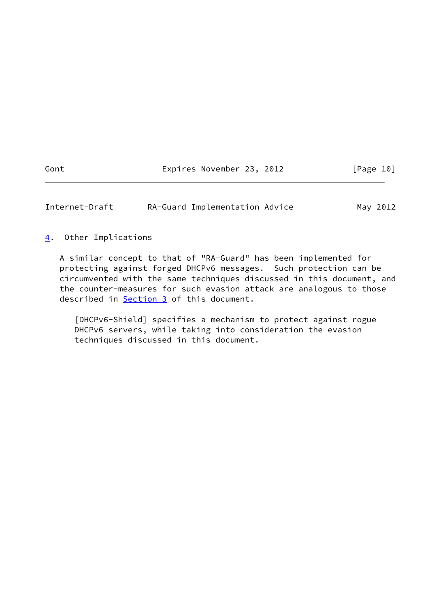Gont Expires November 23, 2012 [Page 10]

<span id="page-11-1"></span>Internet-Draft RA-Guard Implementation Advice May 2012

<span id="page-11-0"></span>[4](#page-11-0). Other Implications

 A similar concept to that of "RA-Guard" has been implemented for protecting against forged DHCPv6 messages. Such protection can be circumvented with the same techniques discussed in this document, and the counter-measures for such evasion attack are analogous to those described in [Section 3](#page-7-0) of this document.

<span id="page-11-2"></span> [DHCPv6-Shield] specifies a mechanism to protect against rogue DHCPv6 servers, while taking into consideration the evasion techniques discussed in this document.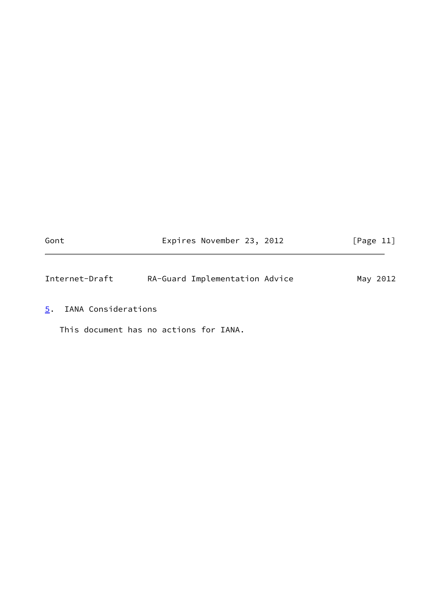<span id="page-12-1"></span>

| Gont           | Expires November 23, 2012      | [Page 11] |
|----------------|--------------------------------|-----------|
|                |                                |           |
| Internet-Draft | RA-Guard Implementation Advice | May 2012  |

<span id="page-12-0"></span>[5](#page-12-0). IANA Considerations

This document has no actions for IANA.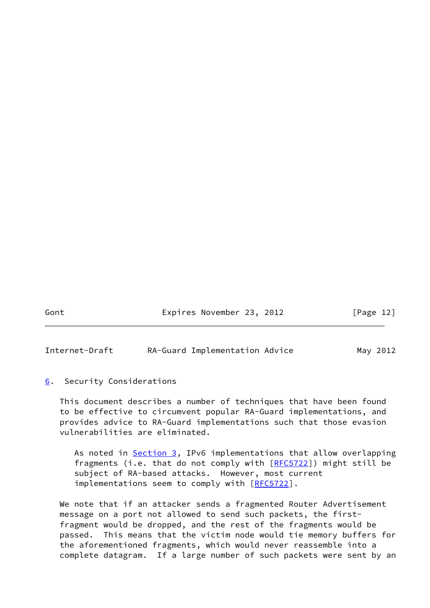Gont Expires November 23, 2012 [Page 12]

<span id="page-13-1"></span>Internet-Draft RA-Guard Implementation Advice May 2012

# <span id="page-13-0"></span>[6](#page-13-0). Security Considerations

 This document describes a number of techniques that have been found to be effective to circumvent popular RA-Guard implementations, and provides advice to RA-Guard implementations such that those evasion vulnerabilities are eliminated.

As noted in **[Section 3,](#page-7-0) IPv6** implementations that allow overlapping fragments (i.e. that do not comply with  $[REC5722]$ ) might still be subject of RA-based attacks. However, most current implementations seem to comply with [\[RFC5722](https://datatracker.ietf.org/doc/pdf/rfc5722)].

 We note that if an attacker sends a fragmented Router Advertisement message on a port not allowed to send such packets, the first fragment would be dropped, and the rest of the fragments would be passed. This means that the victim node would tie memory buffers for the aforementioned fragments, which would never reassemble into a complete datagram. If a large number of such packets were sent by an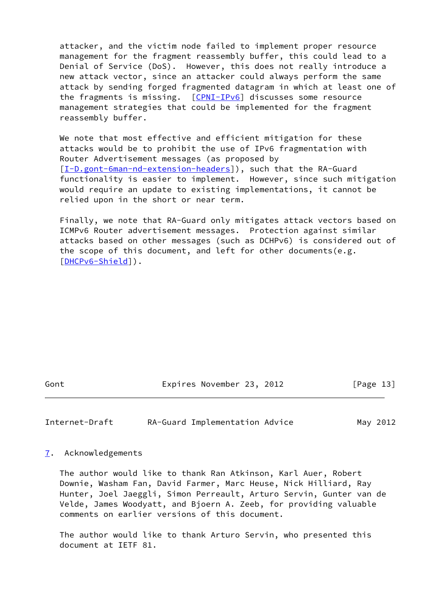attacker, and the victim node failed to implement proper resource management for the fragment reassembly buffer, this could lead to a Denial of Service (DoS). However, this does not really introduce a new attack vector, since an attacker could always perform the same attack by sending forged fragmented datagram in which at least one of the fragments is missing. [[CPNI-IPv6\]](#page-17-0) discusses some resource management strategies that could be implemented for the fragment reassembly buffer.

We note that most effective and efficient mitigation for these attacks would be to prohibit the use of IPv6 fragmentation with Router Advertisement messages (as proposed by [\[I-D.gont-6man-nd-extension-headers\]](#page-16-2)), such that the RA-Guard functionality is easier to implement. However, since such mitigation would require an update to existing implementations, it cannot be relied upon in the short or near term.

 Finally, we note that RA-Guard only mitigates attack vectors based on ICMPv6 Router advertisement messages. Protection against similar attacks based on other messages (such as DCHPv6) is considered out of the scope of this document, and left for other documents(e.g. [\[DHCPv6-Shield](#page-11-2)]).

Gont Expires November 23, 2012 [Page 13]

<span id="page-14-1"></span>Internet-Draft RA-Guard Implementation Advice May 2012

<span id="page-14-0"></span>[7](#page-14-0). Acknowledgements

 The author would like to thank Ran Atkinson, Karl Auer, Robert Downie, Washam Fan, David Farmer, Marc Heuse, Nick Hilliard, Ray Hunter, Joel Jaeggli, Simon Perreault, Arturo Servin, Gunter van de Velde, James Woodyatt, and Bjoern A. Zeeb, for providing valuable comments on earlier versions of this document.

 The author would like to thank Arturo Servin, who presented this document at IETF 81.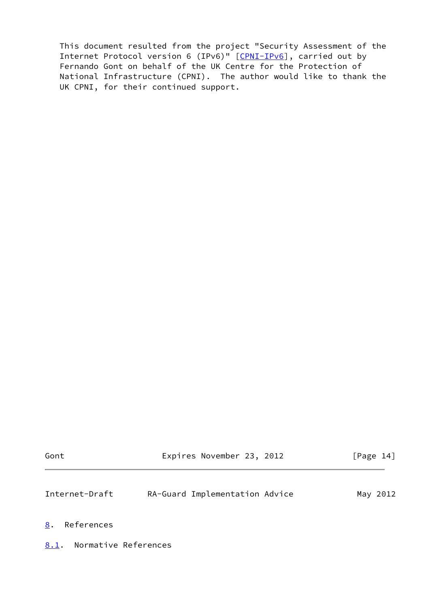This document resulted from the project "Security Assessment of the Internet Protocol version 6 (IPv6)" [\[CPNI-IPv6](#page-17-0)], carried out by Fernando Gont on behalf of the UK Centre for the Protection of National Infrastructure (CPNI). The author would like to thank the UK CPNI, for their continued support.

<span id="page-15-2"></span><span id="page-15-1"></span><span id="page-15-0"></span>

| Gont                         | Expires November 23, 2012      | [Page 14] |
|------------------------------|--------------------------------|-----------|
| Internet-Draft               | RA-Guard Implementation Advice | May 2012  |
| 8.<br>References             |                                |           |
| Normative References<br>8.1. |                                |           |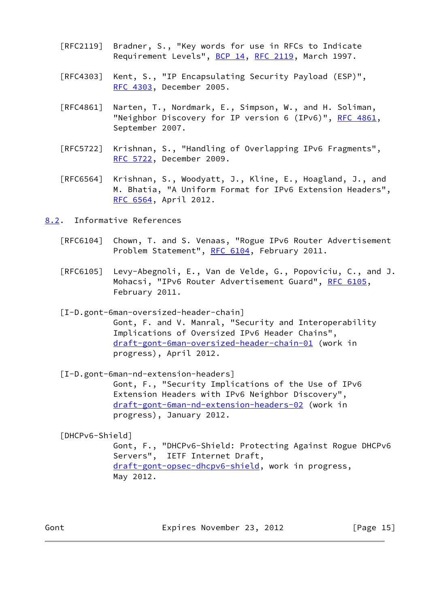- [RFC2119] Bradner, S., "Key words for use in RFCs to Indicate Requirement Levels", [BCP 14](https://datatracker.ietf.org/doc/pdf/bcp14), [RFC 2119](https://datatracker.ietf.org/doc/pdf/rfc2119), March 1997.
- [RFC4303] Kent, S., "IP Encapsulating Security Payload (ESP)", [RFC 4303,](https://datatracker.ietf.org/doc/pdf/rfc4303) December 2005.
- [RFC4861] Narten, T., Nordmark, E., Simpson, W., and H. Soliman, "Neighbor Discovery for IP version 6 (IPv6)", [RFC 4861](https://datatracker.ietf.org/doc/pdf/rfc4861), September 2007.
- [RFC5722] Krishnan, S., "Handling of Overlapping IPv6 Fragments", [RFC 5722,](https://datatracker.ietf.org/doc/pdf/rfc5722) December 2009.
- [RFC6564] Krishnan, S., Woodyatt, J., Kline, E., Hoagland, J., and M. Bhatia, "A Uniform Format for IPv6 Extension Headers", [RFC 6564,](https://datatracker.ietf.org/doc/pdf/rfc6564) April 2012.

<span id="page-16-0"></span>[8.2](#page-16-0). Informative References

- [RFC6104] Chown, T. and S. Venaas, "Rogue IPv6 Router Advertisement Problem Statement", [RFC 6104,](https://datatracker.ietf.org/doc/pdf/rfc6104) February 2011.
- [RFC6105] Levy-Abegnoli, E., Van de Velde, G., Popoviciu, C., and J. Mohacsi, "IPv6 Router Advertisement Guard", [RFC 6105,](https://datatracker.ietf.org/doc/pdf/rfc6105) February 2011.

<span id="page-16-1"></span> [I-D.gont-6man-oversized-header-chain] Gont, F. and V. Manral, "Security and Interoperability Implications of Oversized IPv6 Header Chains", [draft-gont-6man-oversized-header-chain-01](https://datatracker.ietf.org/doc/pdf/draft-gont-6man-oversized-header-chain-01) (work in progress), April 2012.

<span id="page-16-2"></span> [I-D.gont-6man-nd-extension-headers] Gont, F., "Security Implications of the Use of IPv6 Extension Headers with IPv6 Neighbor Discovery", [draft-gont-6man-nd-extension-headers-02](https://datatracker.ietf.org/doc/pdf/draft-gont-6man-nd-extension-headers-02) (work in progress), January 2012.

 [DHCPv6-Shield] Gont, F., "DHCPv6-Shield: Protecting Against Rogue DHCPv6 Servers", IETF Internet Draft, [draft-gont-opsec-dhcpv6-shield](https://datatracker.ietf.org/doc/pdf/draft-gont-opsec-dhcpv6-shield), work in progress, May 2012.

Gont Expires November 23, 2012 [Page 15]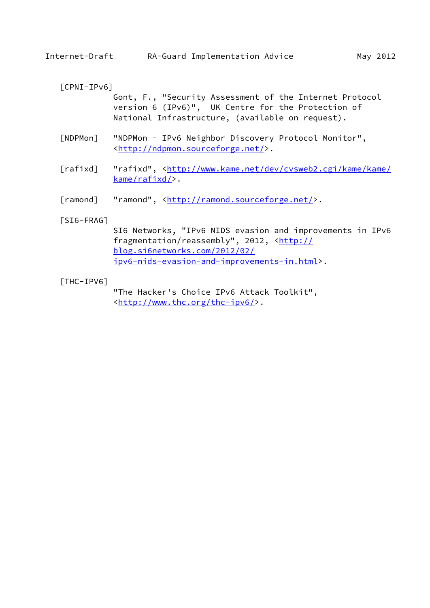# <span id="page-17-0"></span>[CPNI-IPv6]

 Gont, F., "Security Assessment of the Internet Protocol version 6 (IPv6)", UK Centre for the Protection of National Infrastructure, (available on request).

- <span id="page-17-1"></span> [NDPMon] "NDPMon - IPv6 Neighbor Discovery Protocol Monitor", <<http://ndpmon.sourceforge.net/>>.
- <span id="page-17-3"></span>[rafixd] "rafixd", [<http://www.kame.net/dev/cvsweb2.cgi/kame/kame/](http://www.kame.net/dev/cvsweb2.cgi/kame/kame/kame/rafixd/) [kame/rafixd/>](http://www.kame.net/dev/cvsweb2.cgi/kame/kame/kame/rafixd/).
- <span id="page-17-2"></span>[ramond] "ramond", [<http://ramond.sourceforge.net/](http://ramond.sourceforge.net/)>.

# <span id="page-17-4"></span>[SI6-FRAG]

 SI6 Networks, "IPv6 NIDS evasion and improvements in IPv6 fragmentation/reassembly", 2012, [<http://](http://blog.si6networks.com/2012/02/ipv6-nids-evasion-and-improvements-in.html) [blog.si6networks.com/2012/02/](http://blog.si6networks.com/2012/02/ipv6-nids-evasion-and-improvements-in.html) [ipv6-nids-evasion-and-improvements-in.html>](http://blog.si6networks.com/2012/02/ipv6-nids-evasion-and-improvements-in.html).

## [THC-IPV6]

 "The Hacker's Choice IPv6 Attack Toolkit", <[http://www.thc.org/thc-ipv6/>](http://www.thc.org/thc-ipv6/).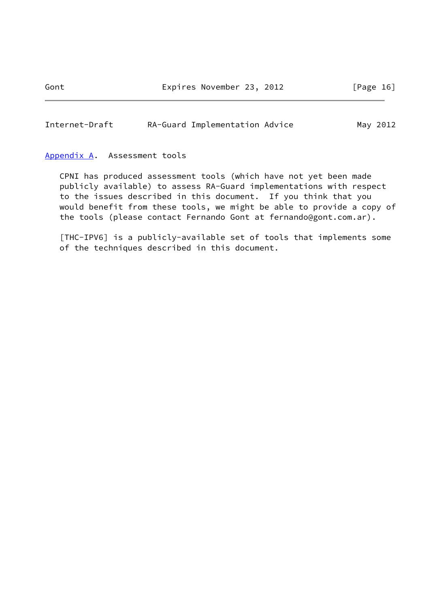<span id="page-18-1"></span>Internet-Draft RA-Guard Implementation Advice May 2012

## <span id="page-18-0"></span>[Appendix A.](#page-18-0) Assessment tools

 CPNI has produced assessment tools (which have not yet been made publicly available) to assess RA-Guard implementations with respect to the issues described in this document. If you think that you would benefit from these tools, we might be able to provide a copy of the tools (please contact Fernando Gont at fernando@gont.com.ar).

 [THC-IPV6] is a publicly-available set of tools that implements some of the techniques described in this document.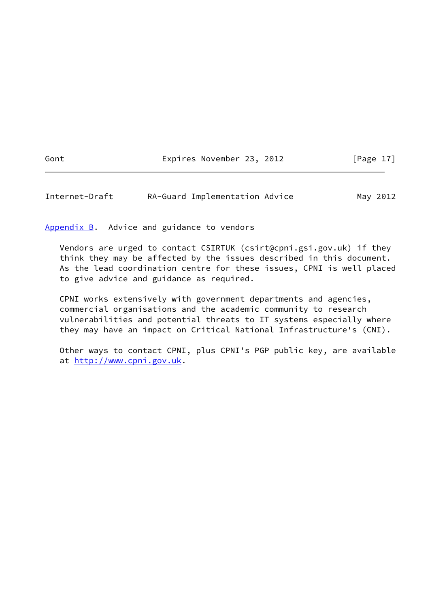Gont Expires November 23, 2012 [Page 17]

<span id="page-19-1"></span>Internet-Draft RA-Guard Implementation Advice May 2012

<span id="page-19-0"></span>[Appendix B.](#page-19-0) Advice and guidance to vendors

 Vendors are urged to contact CSIRTUK (csirt@cpni.gsi.gov.uk) if they think they may be affected by the issues described in this document. As the lead coordination centre for these issues, CPNI is well placed to give advice and guidance as required.

 CPNI works extensively with government departments and agencies, commercial organisations and the academic community to research vulnerabilities and potential threats to IT systems especially where they may have an impact on Critical National Infrastructure's (CNI).

 Other ways to contact CPNI, plus CPNI's PGP public key, are available at <http://www.cpni.gov.uk>.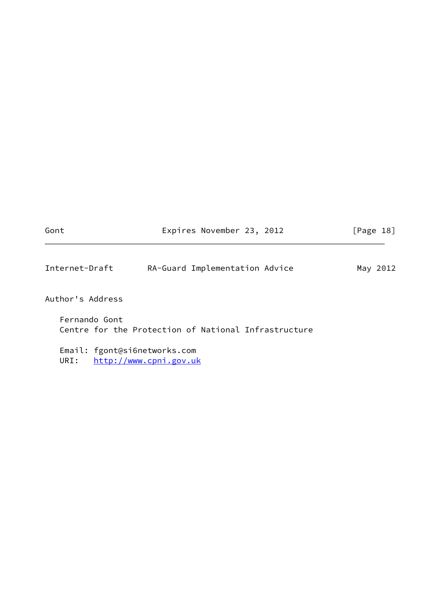<span id="page-20-0"></span>

| Gont                                 | Expires November 23, 2012                            | [Page 18] |
|--------------------------------------|------------------------------------------------------|-----------|
| Internet-Draft                       | RA-Guard Implementation Advice                       | May 2012  |
| Author's Address                     |                                                      |           |
| Fernando Gont                        | Centre for the Protection of National Infrastructure |           |
| Email: fgont@si6networks.com<br>URI: | http://www.cpni.gov.uk                               |           |